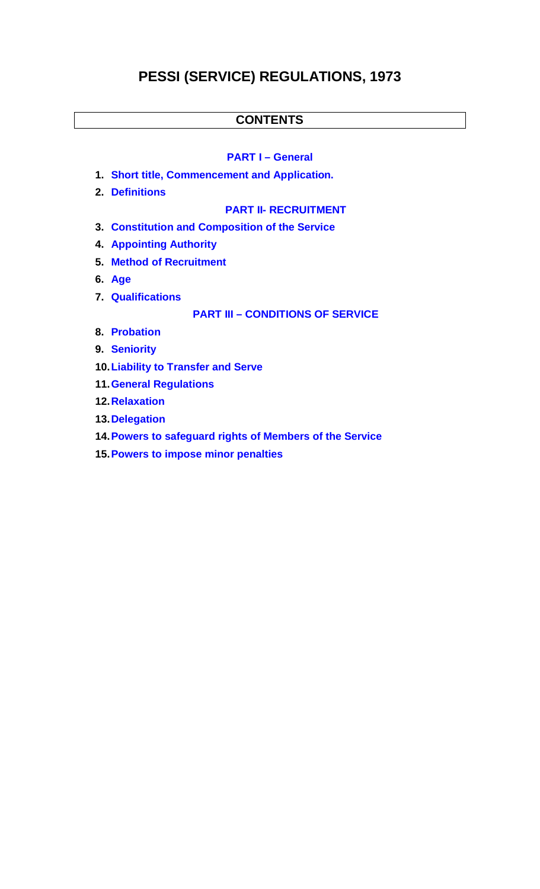# **PESSI (SERVICE) REGULATIONS, 1973**

## **CONTENTS**

## **PART I – General**

- **1. Short title, Commencement and Application.**
- **2. Definitions**

#### **PART II- RECRUITMENT**

- **3. Constitution and Composition of the Service**
- **4. Appointing Authority**
- **5. Method of Recruitment**
- **6. Age**
- **7. Qualifications**

**PART III – CONDITIONS OF SERVICE**

- **8. Probation**
- **9. Seniority**
- **10.Liability to Transfer and Serve**
- **11.General Regulations**
- **12.Relaxation**
- **13.Delegation**
- **14.Powers to safeguard rights of Members of the Service**
- **15.Powers to impose minor penalties**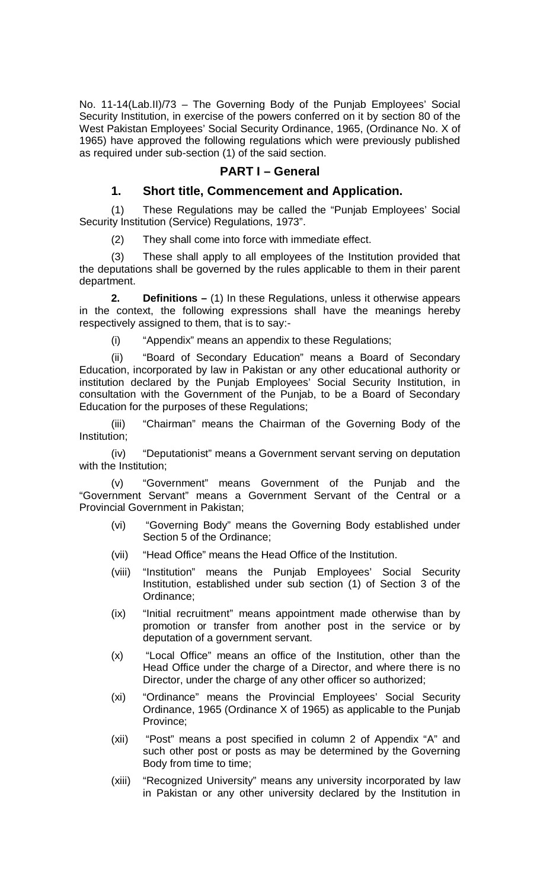No. 11-14(Lab.II)/73 – The Governing Body of the Punjab Employees' Social Security Institution, in exercise of the powers conferred on it by section 80 of the West Pakistan Employees' Social Security Ordinance, 1965, (Ordinance No. X of 1965) have approved the following regulations which were previously published as required under sub-section (1) of the said section.

## **PART I – General**

## **1. Short title, Commencement and Application.**

(1) These Regulations may be called the "Punjab Employees' Social Security Institution (Service) Regulations, 1973".

(2) They shall come into force with immediate effect.

(3) These shall apply to all employees of the Institution provided that the deputations shall be governed by the rules applicable to them in their parent department.

**2. Definitions –** (1) In these Regulations, unless it otherwise appears in the context, the following expressions shall have the meanings hereby respectively assigned to them, that is to say:-

(i) "Appendix" means an appendix to these Regulations;

(ii) "Board of Secondary Education" means a Board of Secondary Education, incorporated by law in Pakistan or any other educational authority or institution declared by the Punjab Employees' Social Security Institution, in consultation with the Government of the Punjab, to be a Board of Secondary Education for the purposes of these Regulations;

(iii) "Chairman" means the Chairman of the Governing Body of the Institution;

(iv) "Deputationist" means a Government servant serving on deputation with the Institution;

(v) "Government" means Government of the Punjab and the "Government Servant" means a Government Servant of the Central or a Provincial Government in Pakistan;

- (vi) "Governing Body" means the Governing Body established under Section 5 of the Ordinance;
- (vii) "Head Office" means the Head Office of the Institution.
- (viii) "Institution" means the Punjab Employees' Social Security Institution, established under sub section (1) of Section 3 of the Ordinance;
- (ix) "Initial recruitment" means appointment made otherwise than by promotion or transfer from another post in the service or by deputation of a government servant.
- (x) "Local Office" means an office of the Institution, other than the Head Office under the charge of a Director, and where there is no Director, under the charge of any other officer so authorized;
- (xi) "Ordinance" means the Provincial Employees' Social Security Ordinance, 1965 (Ordinance X of 1965) as applicable to the Punjab Province;
- (xii) "Post" means a post specified in column 2 of Appendix "A" and such other post or posts as may be determined by the Governing Body from time to time;
- (xiii) "Recognized University" means any university incorporated by law in Pakistan or any other university declared by the Institution in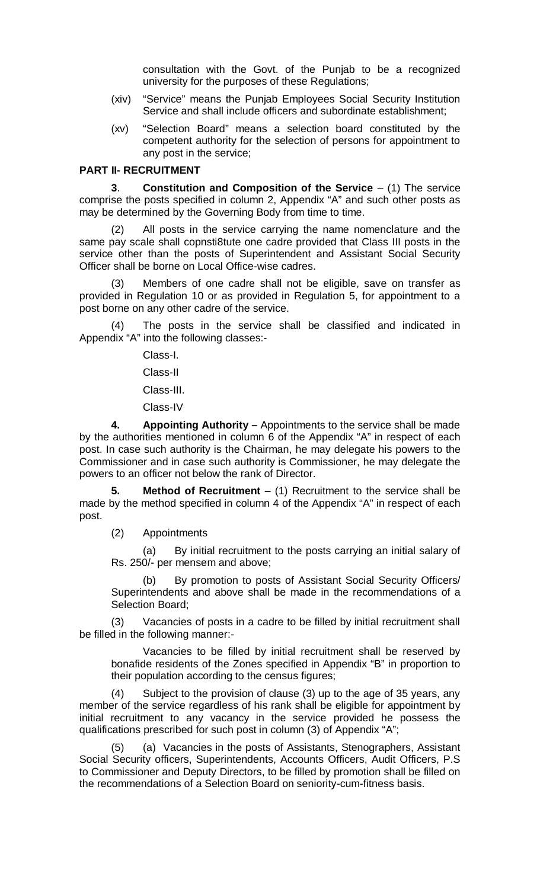consultation with the Govt. of the Punjab to be a recognized university for the purposes of these Regulations;

- (xiv) "Service" means the Punjab Employees Social Security Institution Service and shall include officers and subordinate establishment;
- (xv) "Selection Board" means a selection board constituted by the competent authority for the selection of persons for appointment to any post in the service;

#### **PART II- RECRUITMENT**

**3**. **Constitution and Composition of the Service** – (1) The service comprise the posts specified in column 2, Appendix "A" and such other posts as may be determined by the Governing Body from time to time.

All posts in the service carrying the name nomenclature and the same pay scale shall copnsti8tute one cadre provided that Class III posts in the service other than the posts of Superintendent and Assistant Social Security Officer shall be borne on Local Office-wise cadres.

Members of one cadre shall not be eligible, save on transfer as provided in Regulation 10 or as provided in Regulation 5, for appointment to a post borne on any other cadre of the service.

The posts in the service shall be classified and indicated in Appendix "A" into the following classes:-

Class-I.

Class-II

Class-III.

Class-IV

**4. Appointing Authority –** Appointments to the service shall be made by the authorities mentioned in column 6 of the Appendix "A" in respect of each post. In case such authority is the Chairman, he may delegate his powers to the Commissioner and in case such authority is Commissioner, he may delegate the powers to an officer not below the rank of Director.

**5. Method of Recruitment** – (1) Recruitment to the service shall be made by the method specified in column 4 of the Appendix "A" in respect of each post.

(2) Appointments

(a) By initial recruitment to the posts carrying an initial salary of Rs. 250/- per mensem and above;

By promotion to posts of Assistant Social Security Officers/ Superintendents and above shall be made in the recommendations of a Selection Board;

(3) Vacancies of posts in a cadre to be filled by initial recruitment shall be filled in the following manner:-

Vacancies to be filled by initial recruitment shall be reserved by bonafide residents of the Zones specified in Appendix "B" in proportion to their population according to the census figures;

(4) Subject to the provision of clause (3) up to the age of 35 years, any member of the service regardless of his rank shall be eligible for appointment by initial recruitment to any vacancy in the service provided he possess the qualifications prescribed for such post in column (3) of Appendix "A";

(5) (a) Vacancies in the posts of Assistants, Stenographers, Assistant Social Security officers, Superintendents, Accounts Officers, Audit Officers, P.S to Commissioner and Deputy Directors, to be filled by promotion shall be filled on the recommendations of a Selection Board on seniority-cum-fitness basis.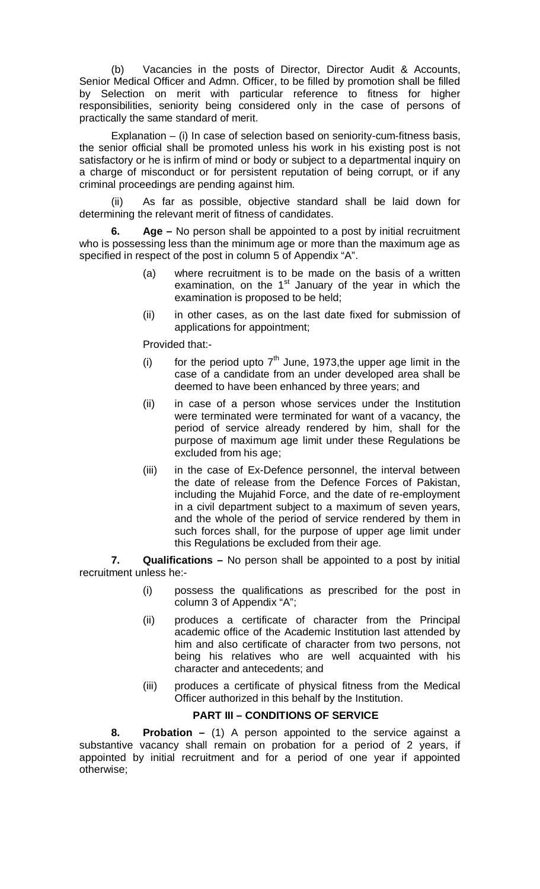(b) Vacancies in the posts of Director, Director Audit & Accounts, Senior Medical Officer and Admn. Officer, to be filled by promotion shall be filled by Selection on merit with particular reference to fitness for higher responsibilities, seniority being considered only in the case of persons of practically the same standard of merit.

Explanation – (i) In case of selection based on seniority-cum-fitness basis, the senior official shall be promoted unless his work in his existing post is not satisfactory or he is infirm of mind or body or subject to a departmental inquiry on a charge of misconduct or for persistent reputation of being corrupt, or if any criminal proceedings are pending against him.

(ii) As far as possible, objective standard shall be laid down for determining the relevant merit of fitness of candidates.

**6. Age –** No person shall be appointed to a post by initial recruitment who is possessing less than the minimum age or more than the maximum age as specified in respect of the post in column 5 of Appendix "A".

- (a) where recruitment is to be made on the basis of a written examination, on the 1<sup>st</sup> January of the year in which the examination is proposed to be held;
- (ii) in other cases, as on the last date fixed for submission of applications for appointment;

Provided that:-

- (i) for the period upto  $7<sup>th</sup>$  June, 1973, the upper age limit in the case of a candidate from an under developed area shall be deemed to have been enhanced by three years; and
- (ii) in case of a person whose services under the Institution were terminated were terminated for want of a vacancy, the period of service already rendered by him, shall for the purpose of maximum age limit under these Regulations be excluded from his age;
- (iii) in the case of Ex-Defence personnel, the interval between the date of release from the Defence Forces of Pakistan, including the Mujahid Force, and the date of re-employment in a civil department subject to a maximum of seven years, and the whole of the period of service rendered by them in such forces shall, for the purpose of upper age limit under this Regulations be excluded from their age.

**7. Qualifications –** No person shall be appointed to a post by initial recruitment unless he:-

- (i) possess the qualifications as prescribed for the post in column 3 of Appendix "A";
- (ii) produces a certificate of character from the Principal academic office of the Academic Institution last attended by him and also certificate of character from two persons, not being his relatives who are well acquainted with his character and antecedents; and
- (iii) produces a certificate of physical fitness from the Medical Officer authorized in this behalf by the Institution.

## **PART III – CONDITIONS OF SERVICE**

**8. Probation –** (1) A person appointed to the service against a substantive vacancy shall remain on probation for a period of 2 years, if appointed by initial recruitment and for a period of one year if appointed otherwise;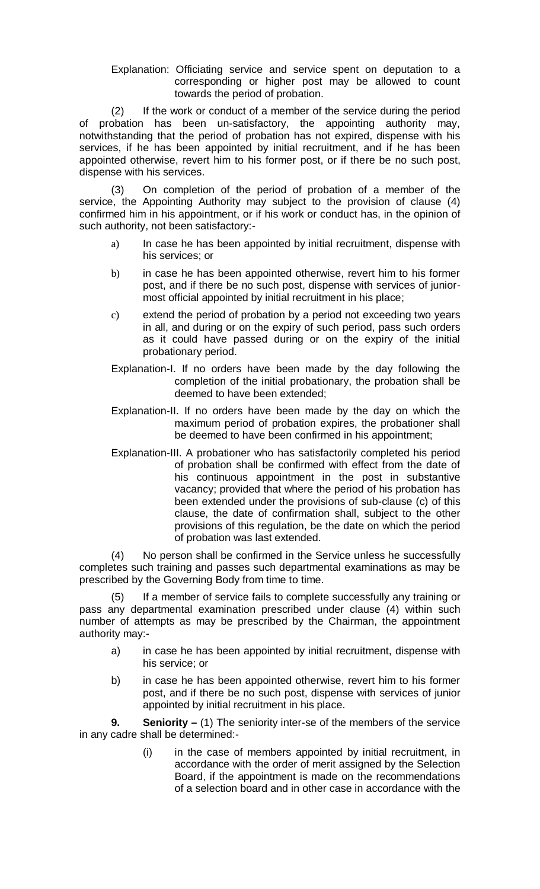Explanation: Officiating service and service spent on deputation to a corresponding or higher post may be allowed to count towards the period of probation.

(2) If the work or conduct of a member of the service during the period of probation has been un-satisfactory, the appointing authority may, notwithstanding that the period of probation has not expired, dispense with his services, if he has been appointed by initial recruitment, and if he has been appointed otherwise, revert him to his former post, or if there be no such post, dispense with his services.

(3) On completion of the period of probation of a member of the service, the Appointing Authority may subject to the provision of clause (4) confirmed him in his appointment, or if his work or conduct has, in the opinion of such authority, not been satisfactory:-

- a) In case he has been appointed by initial recruitment, dispense with his services; or
- b) in case he has been appointed otherwise, revert him to his former post, and if there be no such post, dispense with services of juniormost official appointed by initial recruitment in his place;
- c) extend the period of probation by a period not exceeding two years in all, and during or on the expiry of such period, pass such orders as it could have passed during or on the expiry of the initial probationary period.
- Explanation-I. If no orders have been made by the day following the completion of the initial probationary, the probation shall be deemed to have been extended;
- Explanation-II. If no orders have been made by the day on which the maximum period of probation expires, the probationer shall be deemed to have been confirmed in his appointment;
- Explanation-III. A probationer who has satisfactorily completed his period of probation shall be confirmed with effect from the date of his continuous appointment in the post in substantive vacancy; provided that where the period of his probation has been extended under the provisions of sub-clause (c) of this clause, the date of confirmation shall, subject to the other provisions of this regulation, be the date on which the period of probation was last extended.

(4) No person shall be confirmed in the Service unless he successfully completes such training and passes such departmental examinations as may be prescribed by the Governing Body from time to time.

(5) If a member of service fails to complete successfully any training or pass any departmental examination prescribed under clause (4) within such number of attempts as may be prescribed by the Chairman, the appointment authority may:-

- a) in case he has been appointed by initial recruitment, dispense with his service; or
- b) in case he has been appointed otherwise, revert him to his former post, and if there be no such post, dispense with services of junior appointed by initial recruitment in his place.

**9. Seniority –** (1) The seniority inter-se of the members of the service in any cadre shall be determined:-

> (i) in the case of members appointed by initial recruitment, in accordance with the order of merit assigned by the Selection Board, if the appointment is made on the recommendations of a selection board and in other case in accordance with the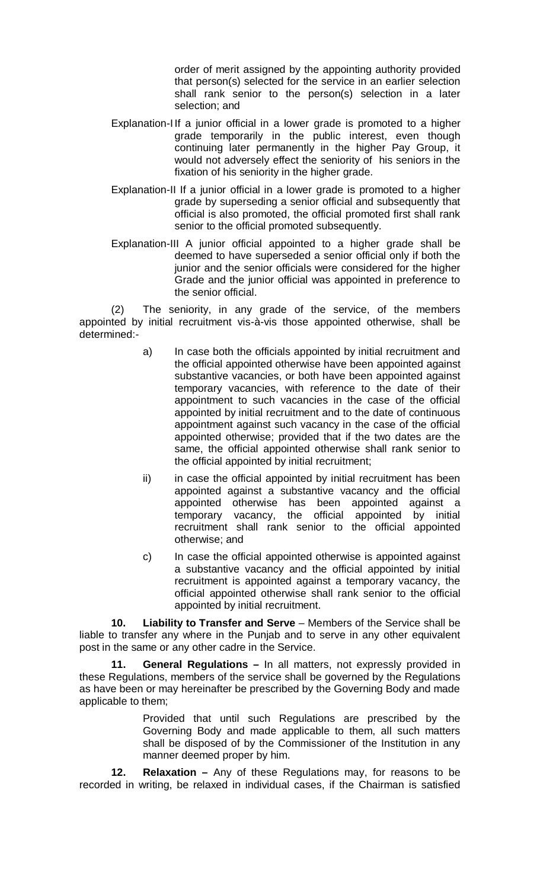order of merit assigned by the appointing authority provided that person(s) selected for the service in an earlier selection shall rank senior to the person(s) selection in a later selection; and

- Explanation-I If a junior official in a lower grade is promoted to a higher grade temporarily in the public interest, even though continuing later permanently in the higher Pay Group, it would not adversely effect the seniority of his seniors in the fixation of his seniority in the higher grade.
- Explanation-II If a junior official in a lower grade is promoted to a higher grade by superseding a senior official and subsequently that official is also promoted, the official promoted first shall rank senior to the official promoted subsequently.
- Explanation-III A junior official appointed to a higher grade shall be deemed to have superseded a senior official only if both the junior and the senior officials were considered for the higher Grade and the junior official was appointed in preference to the senior official.

(2) The seniority, in any grade of the service, of the members appointed by initial recruitment vis-à-vis those appointed otherwise, shall be determined:-

- a) In case both the officials appointed by initial recruitment and the official appointed otherwise have been appointed against substantive vacancies, or both have been appointed against temporary vacancies, with reference to the date of their appointment to such vacancies in the case of the official appointed by initial recruitment and to the date of continuous appointment against such vacancy in the case of the official appointed otherwise; provided that if the two dates are the same, the official appointed otherwise shall rank senior to the official appointed by initial recruitment;
- ii) in case the official appointed by initial recruitment has been appointed against a substantive vacancy and the official appointed otherwise has been appointed against a temporary vacancy, the official appointed by initial recruitment shall rank senior to the official appointed otherwise; and
- c) In case the official appointed otherwise is appointed against a substantive vacancy and the official appointed by initial recruitment is appointed against a temporary vacancy, the official appointed otherwise shall rank senior to the official appointed by initial recruitment.

**10. Liability to Transfer and Serve** – Members of the Service shall be liable to transfer any where in the Punjab and to serve in any other equivalent post in the same or any other cadre in the Service.

**11. General Regulations –** In all matters, not expressly provided in these Regulations, members of the service shall be governed by the Regulations as have been or may hereinafter be prescribed by the Governing Body and made applicable to them;

> Provided that until such Regulations are prescribed by the Governing Body and made applicable to them, all such matters shall be disposed of by the Commissioner of the Institution in any manner deemed proper by him.

**12. Relaxation –** Any of these Regulations may, for reasons to be recorded in writing, be relaxed in individual cases, if the Chairman is satisfied